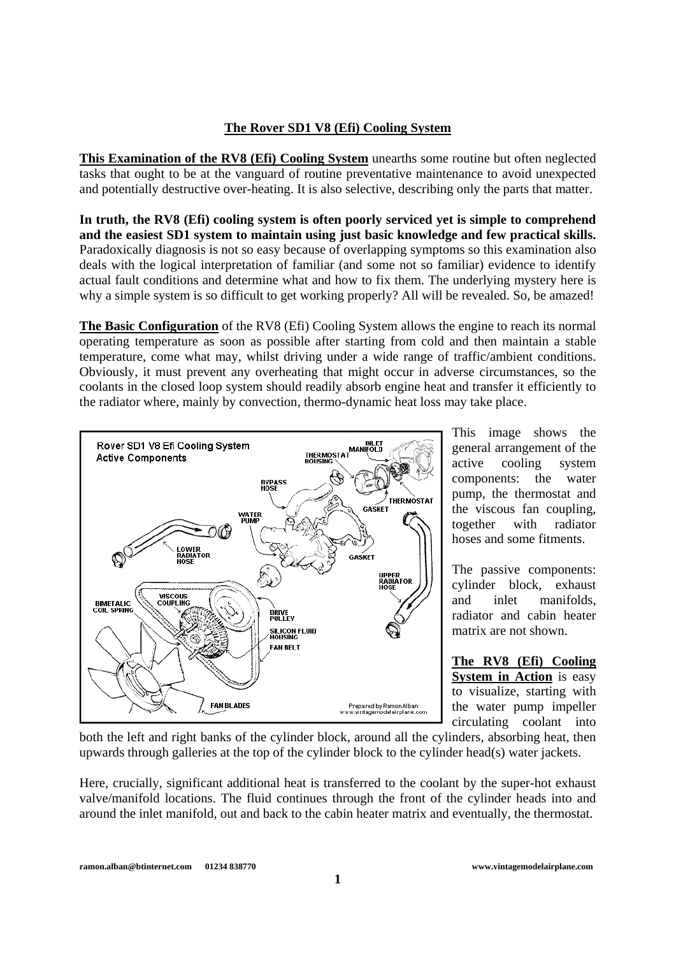## **The Rover SD1 V8 (Efi) Cooling System**

**This Examination of the RV8 (Efi) Cooling System** unearths some routine but often neglected tasks that ought to be at the vanguard of routine preventative maintenance to avoid unexpected and potentially destructive over-heating. It is also selective, describing only the parts that matter.

**In truth, the RV8 (Efi) cooling system is often poorly serviced yet is simple to comprehend and the easiest SD1 system to maintain using just basic knowledge and few practical skills.**  Paradoxically diagnosis is not so easy because of overlapping symptoms so this examination also deals with the logical interpretation of familiar (and some not so familiar) evidence to identify actual fault conditions and determine what and how to fix them. The underlying mystery here is why a simple system is so difficult to get working properly? All will be revealed. So, be amazed!

**The Basic Configuration** of the RV8 (Efi) Cooling System allows the engine to reach its normal operating temperature as soon as possible after starting from cold and then maintain a stable temperature, come what may, whilst driving under a wide range of traffic/ambient conditions. Obviously, it must prevent any overheating that might occur in adverse circumstances, so the coolants in the closed loop system should readily absorb engine heat and transfer it efficiently to the radiator where, mainly by convection, thermo-dynamic heat loss may take place.



This image shows the general arrangement of the active cooling system components: the water pump, the thermostat and the viscous fan coupling, together with radiator hoses and some fitments.

The passive components: cylinder block, exhaust and inlet manifolds, radiator and cabin heater matrix are not shown.

**The RV8 (Efi) Cooling System in Action** is easy to visualize, starting with the water pump impeller circulating coolant into

both the left and right banks of the cylinder block, around all the cylinders, absorbing heat, then upwards through galleries at the top of the cylinder block to the cylinder head(s) water jackets.

Here, crucially, significant additional heat is transferred to the coolant by the super-hot exhaust valve/manifold locations. The fluid continues through the front of the cylinder heads into and around the inlet manifold, out and back to the cabin heater matrix and eventually, the thermostat.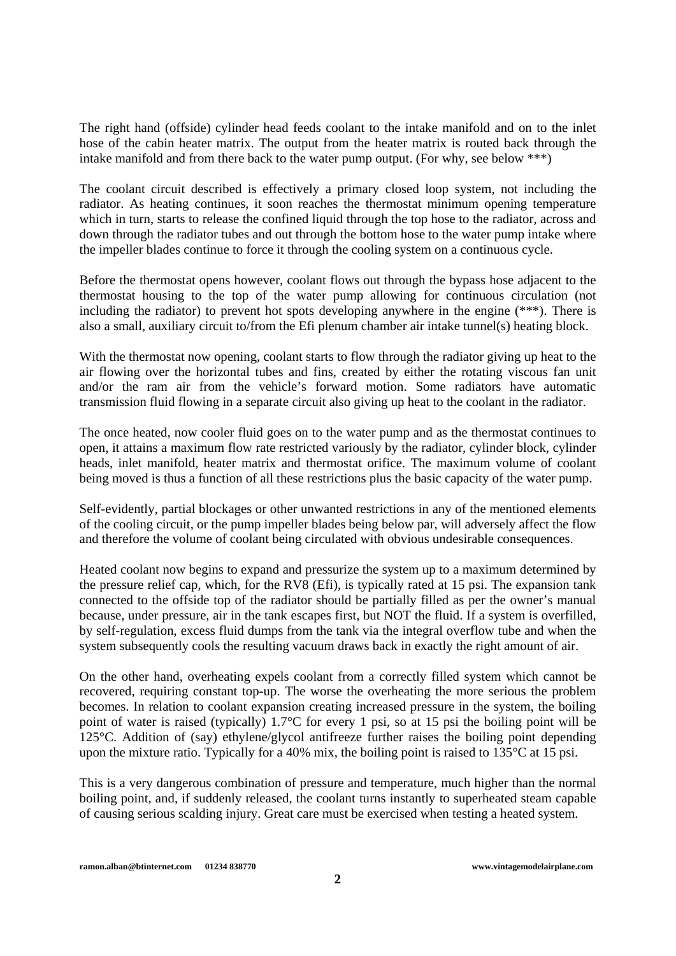The right hand (offside) cylinder head feeds coolant to the intake manifold and on to the inlet hose of the cabin heater matrix. The output from the heater matrix is routed back through the intake manifold and from there back to the water pump output. (For why, see below \*\*\*)

The coolant circuit described is effectively a primary closed loop system, not including the radiator. As heating continues, it soon reaches the thermostat minimum opening temperature which in turn, starts to release the confined liquid through the top hose to the radiator, across and down through the radiator tubes and out through the bottom hose to the water pump intake where the impeller blades continue to force it through the cooling system on a continuous cycle.

Before the thermostat opens however, coolant flows out through the bypass hose adjacent to the thermostat housing to the top of the water pump allowing for continuous circulation (not including the radiator) to prevent hot spots developing anywhere in the engine (\*\*\*). There is also a small, auxiliary circuit to/from the Efi plenum chamber air intake tunnel(s) heating block.

With the thermostat now opening, coolant starts to flow through the radiator giving up heat to the air flowing over the horizontal tubes and fins, created by either the rotating viscous fan unit and/or the ram air from the vehicle's forward motion. Some radiators have automatic transmission fluid flowing in a separate circuit also giving up heat to the coolant in the radiator.

The once heated, now cooler fluid goes on to the water pump and as the thermostat continues to open, it attains a maximum flow rate restricted variously by the radiator, cylinder block, cylinder heads, inlet manifold, heater matrix and thermostat orifice. The maximum volume of coolant being moved is thus a function of all these restrictions plus the basic capacity of the water pump.

Self-evidently, partial blockages or other unwanted restrictions in any of the mentioned elements of the cooling circuit, or the pump impeller blades being below par, will adversely affect the flow and therefore the volume of coolant being circulated with obvious undesirable consequences.

Heated coolant now begins to expand and pressurize the system up to a maximum determined by the pressure relief cap, which, for the RV8 (Efi), is typically rated at 15 psi. The expansion tank connected to the offside top of the radiator should be partially filled as per the owner's manual because, under pressure, air in the tank escapes first, but NOT the fluid. If a system is overfilled, by self-regulation, excess fluid dumps from the tank via the integral overflow tube and when the system subsequently cools the resulting vacuum draws back in exactly the right amount of air.

On the other hand, overheating expels coolant from a correctly filled system which cannot be recovered, requiring constant top-up. The worse the overheating the more serious the problem becomes. In relation to coolant expansion creating increased pressure in the system, the boiling point of water is raised (typically) 1.7°C for every 1 psi, so at 15 psi the boiling point will be 125°C. Addition of (say) ethylene/glycol antifreeze further raises the boiling point depending upon the mixture ratio. Typically for a 40% mix, the boiling point is raised to 135°C at 15 psi.

This is a very dangerous combination of pressure and temperature, much higher than the normal boiling point, and, if suddenly released, the coolant turns instantly to superheated steam capable of causing serious scalding injury. Great care must be exercised when testing a heated system.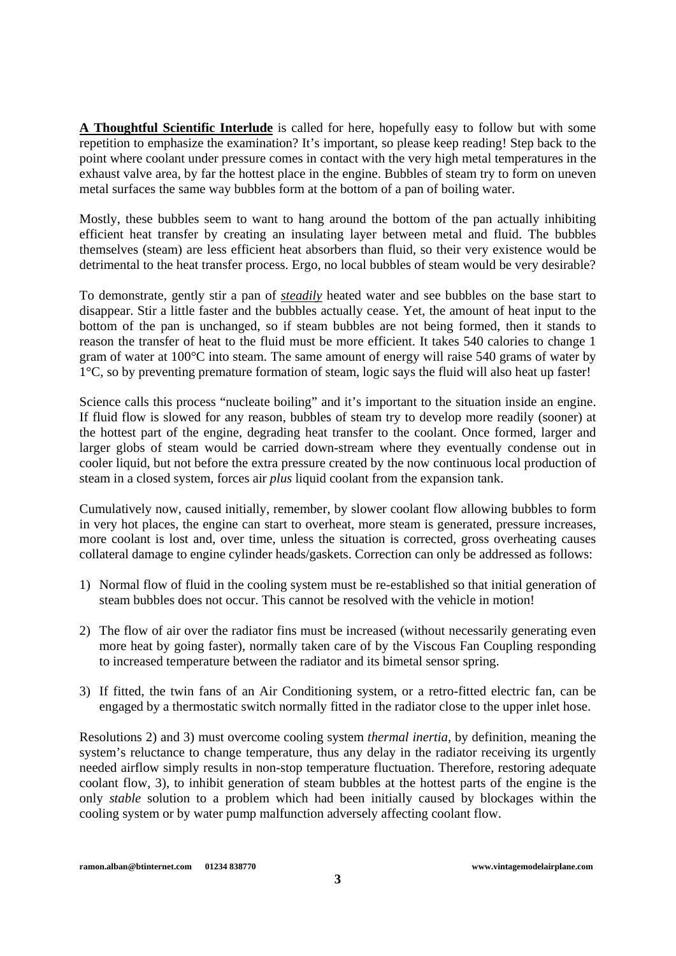**A Thoughtful Scientific Interlude** is called for here, hopefully easy to follow but with some repetition to emphasize the examination? It's important, so please keep reading! Step back to the point where coolant under pressure comes in contact with the very high metal temperatures in the exhaust valve area, by far the hottest place in the engine. Bubbles of steam try to form on uneven metal surfaces the same way bubbles form at the bottom of a pan of boiling water.

Mostly, these bubbles seem to want to hang around the bottom of the pan actually inhibiting efficient heat transfer by creating an insulating layer between metal and fluid. The bubbles themselves (steam) are less efficient heat absorbers than fluid, so their very existence would be detrimental to the heat transfer process. Ergo, no local bubbles of steam would be very desirable?

To demonstrate, gently stir a pan of *steadily* heated water and see bubbles on the base start to disappear. Stir a little faster and the bubbles actually cease. Yet, the amount of heat input to the bottom of the pan is unchanged, so if steam bubbles are not being formed, then it stands to reason the transfer of heat to the fluid must be more efficient. It takes 540 calories to change 1 gram of water at 100°C into steam. The same amount of energy will raise 540 grams of water by 1°C, so by preventing premature formation of steam, logic says the fluid will also heat up faster!

Science calls this process "nucleate boiling" and it's important to the situation inside an engine. If fluid flow is slowed for any reason, bubbles of steam try to develop more readily (sooner) at the hottest part of the engine, degrading heat transfer to the coolant. Once formed, larger and larger globs of steam would be carried down-stream where they eventually condense out in cooler liquid, but not before the extra pressure created by the now continuous local production of steam in a closed system, forces air *plus* liquid coolant from the expansion tank.

Cumulatively now, caused initially, remember, by slower coolant flow allowing bubbles to form in very hot places, the engine can start to overheat, more steam is generated, pressure increases, more coolant is lost and, over time, unless the situation is corrected, gross overheating causes collateral damage to engine cylinder heads/gaskets. Correction can only be addressed as follows:

- 1) Normal flow of fluid in the cooling system must be re-established so that initial generation of steam bubbles does not occur. This cannot be resolved with the vehicle in motion!
- 2) The flow of air over the radiator fins must be increased (without necessarily generating even more heat by going faster), normally taken care of by the Viscous Fan Coupling responding to increased temperature between the radiator and its bimetal sensor spring.
- 3) If fitted, the twin fans of an Air Conditioning system, or a retro-fitted electric fan, can be engaged by a thermostatic switch normally fitted in the radiator close to the upper inlet hose.

Resolutions 2) and 3) must overcome cooling system *thermal inertia*, by definition, meaning the system's reluctance to change temperature, thus any delay in the radiator receiving its urgently needed airflow simply results in non-stop temperature fluctuation. Therefore, restoring adequate coolant flow, 3), to inhibit generation of steam bubbles at the hottest parts of the engine is the only *stable* solution to a problem which had been initially caused by blockages within the cooling system or by water pump malfunction adversely affecting coolant flow.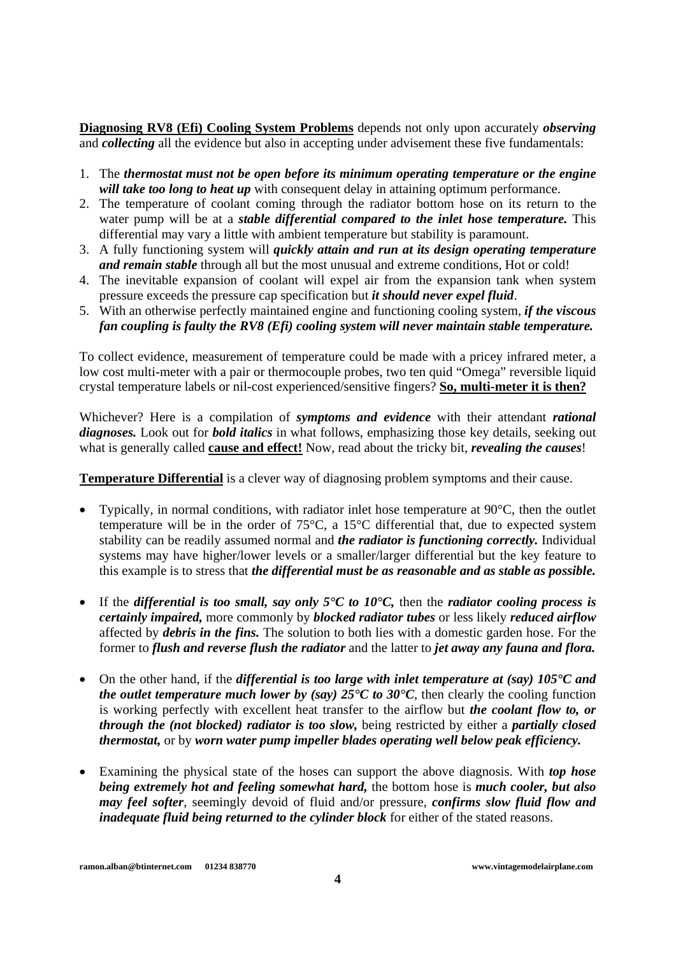**Diagnosing RV8 (Efi) Cooling System Problems** depends not only upon accurately *observing* and *collecting* all the evidence but also in accepting under advisement these five fundamentals:

- 1. The *thermostat must not be open before its minimum operating temperature or the engine will take too long to heat up* with consequent delay in attaining optimum performance.
- 2. The temperature of coolant coming through the radiator bottom hose on its return to the water pump will be at a *stable differential compared to the inlet hose temperature.* This differential may vary a little with ambient temperature but stability is paramount.
- 3. A fully functioning system will *quickly attain and run at its design operating temperature and remain stable* through all but the most unusual and extreme conditions, Hot or cold!
- 4. The inevitable expansion of coolant will expel air from the expansion tank when system pressure exceeds the pressure cap specification but *it should never expel fluid*.
- 5. With an otherwise perfectly maintained engine and functioning cooling system, *if the viscous fan coupling is faulty the RV8 (Efi) cooling system will never maintain stable temperature.*

To collect evidence, measurement of temperature could be made with a pricey infrared meter, a low cost multi-meter with a pair or thermocouple probes, two ten quid "Omega" reversible liquid crystal temperature labels or nil-cost experienced/sensitive fingers? **So, multi-meter it is then?**

Whichever? Here is a compilation of *symptoms and evidence* with their attendant *rational diagnoses.* Look out for *bold italics* in what follows, emphasizing those key details, seeking out what is generally called **cause and effect!** Now, read about the tricky bit, *revealing the causes*!

**Temperature Differential** is a clever way of diagnosing problem symptoms and their cause.

- Typically, in normal conditions, with radiator inlet hose temperature at  $90^{\circ}$ C, then the outlet temperature will be in the order of 75°C, a 15°C differential that, due to expected system stability can be readily assumed normal and *the radiator is functioning correctly.* Individual systems may have higher/lower levels or a smaller/larger differential but the key feature to this example is to stress that *the differential must be as reasonable and as stable as possible.*
- If the *differential is too small, say only 5°C to 10°C,* then the *radiator cooling process is certainly impaired,* more commonly by *blocked radiator tubes* or less likely *reduced airflow* affected by *debris in the fins.* The solution to both lies with a domestic garden hose. For the former to *flush and reverse flush the radiator* and the latter to *jet away any fauna and flora.*
- On the other hand, if the *differential is too large with inlet temperature at (say) 105°C and the outlet temperature much lower by (say)*  $25^{\circ}C$  to  $30^{\circ}C$ , then clearly the cooling function is working perfectly with excellent heat transfer to the airflow but *the coolant flow to, or through the (not blocked) radiator is too slow,* being restricted by either a *partially closed thermostat,* or by *worn water pump impeller blades operating well below peak efficiency.*
- Examining the physical state of the hoses can support the above diagnosis. With *top hose being extremely hot and feeling somewhat hard,* the bottom hose is *much cooler, but also may feel softer*, seemingly devoid of fluid and/or pressure, *confirms slow fluid flow and inadequate fluid being returned to the cylinder block* for either of the stated reasons.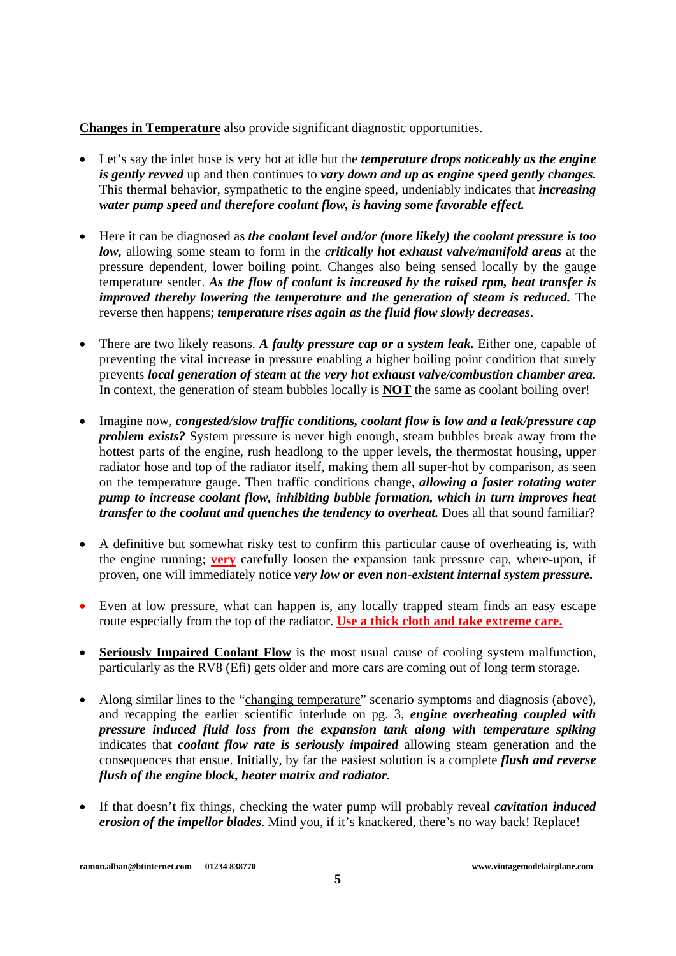**Changes in Temperature** also provide significant diagnostic opportunities.

- Let's say the inlet hose is very hot at idle but the *temperature drops noticeably as the engine is gently revved* up and then continues to *vary down and up as engine speed gently changes.* This thermal behavior, sympathetic to the engine speed, undeniably indicates that *increasing water pump speed and therefore coolant flow, is having some favorable effect.*
- Here it can be diagnosed as *the coolant level and/or (more likely) the coolant pressure is too low,* allowing some steam to form in the *critically hot exhaust valve/manifold areas* at the pressure dependent, lower boiling point. Changes also being sensed locally by the gauge temperature sender. *As the flow of coolant is increased by the raised rpm, heat transfer is improved thereby lowering the temperature and the generation of steam is reduced.* The reverse then happens; *temperature rises again as the fluid flow slowly decreases*.
- There are two likely reasons. *A faulty pressure cap or a system leak.* Either one, capable of preventing the vital increase in pressure enabling a higher boiling point condition that surely prevents *local generation of steam at the very hot exhaust valve/combustion chamber area.* In context, the generation of steam bubbles locally is **NOT** the same as coolant boiling over!
- Imagine now, *congested/slow traffic conditions, coolant flow is low and a leak/pressure cap problem exists?* System pressure is never high enough, steam bubbles break away from the hottest parts of the engine, rush headlong to the upper levels, the thermostat housing, upper radiator hose and top of the radiator itself, making them all super-hot by comparison, as seen on the temperature gauge. Then traffic conditions change, *allowing a faster rotating water pump to increase coolant flow, inhibiting bubble formation, which in turn improves heat transfer to the coolant and quenches the tendency to overheat.* Does all that sound familiar?
- A definitive but somewhat risky test to confirm this particular cause of overheating is, with the engine running; **very** carefully loosen the expansion tank pressure cap, where-upon, if proven, one will immediately notice *very low or even non-existent internal system pressure.*
- Even at low pressure, what can happen is, any locally trapped steam finds an easy escape route especially from the top of the radiator. **Use a thick cloth and take extreme care.**
- **Seriously Impaired Coolant Flow** is the most usual cause of cooling system malfunction, particularly as the RV8 (Efi) gets older and more cars are coming out of long term storage.
- Along similar lines to the "changing temperature" scenario symptoms and diagnosis (above), and recapping the earlier scientific interlude on pg. 3, *engine overheating coupled with pressure induced fluid loss from the expansion tank along with temperature spiking* indicates that *coolant flow rate is seriously impaired* allowing steam generation and the consequences that ensue. Initially, by far the easiest solution is a complete *flush and reverse flush of the engine block, heater matrix and radiator.*
- If that doesn't fix things, checking the water pump will probably reveal *cavitation induced erosion of the impellor blades*. Mind you, if it's knackered, there's no way back! Replace!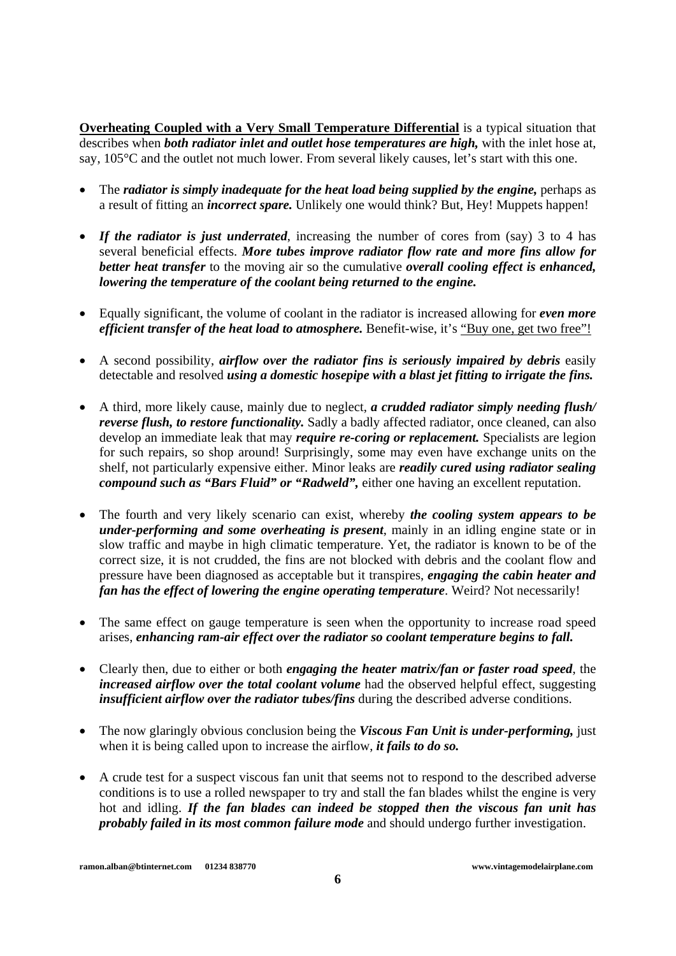**Overheating Coupled with a Very Small Temperature Differential** is a typical situation that describes when *both radiator inlet and outlet hose temperatures are high,* with the inlet hose at, say, 105°C and the outlet not much lower. From several likely causes, let's start with this one.

- The *radiator is simply inadequate for the heat load being supplied by the engine,* perhaps as a result of fitting an *incorrect spare.* Unlikely one would think? But, Hey! Muppets happen!
- *If the radiator is just underrated*, increasing the number of cores from (say) 3 to 4 has several beneficial effects. *More tubes improve radiator flow rate and more fins allow for better heat transfer* to the moving air so the cumulative *overall cooling effect is enhanced, lowering the temperature of the coolant being returned to the engine.*
- Equally significant, the volume of coolant in the radiator is increased allowing for *even more efficient transfer of the heat load to atmosphere.* Benefit-wise, it's "Buy one, get two free"!
- A second possibility, *airflow over the radiator fins is seriously impaired by debris* easily detectable and resolved *using a domestic hosepipe with a blast jet fitting to irrigate the fins.*
- A third, more likely cause, mainly due to neglect, *a crudded radiator simply needing flush/ reverse flush, to restore functionality.* Sadly a badly affected radiator, once cleaned, can also develop an immediate leak that may *require re-coring or replacement.* Specialists are legion for such repairs, so shop around! Surprisingly, some may even have exchange units on the shelf, not particularly expensive either. Minor leaks are *readily cured using radiator sealing compound such as "Bars Fluid" or "Radweld",* either one having an excellent reputation.
- The fourth and very likely scenario can exist, whereby *the cooling system appears to be under-performing and some overheating is present*, mainly in an idling engine state or in slow traffic and maybe in high climatic temperature. Yet, the radiator is known to be of the correct size, it is not crudded, the fins are not blocked with debris and the coolant flow and pressure have been diagnosed as acceptable but it transpires, *engaging the cabin heater and fan has the effect of lowering the engine operating temperature*. Weird? Not necessarily!
- The same effect on gauge temperature is seen when the opportunity to increase road speed arises, *enhancing ram-air effect over the radiator so coolant temperature begins to fall.*
- Clearly then, due to either or both *engaging the heater matrix/fan or faster road speed*, the *increased airflow over the total coolant volume* had the observed helpful effect, suggesting *insufficient airflow over the radiator tubes/fins* during the described adverse conditions.
- The now glaringly obvious conclusion being the *Viscous Fan Unit is under-performing*, just when it is being called upon to increase the airflow, *it fails to do so.*
- A crude test for a suspect viscous fan unit that seems not to respond to the described adverse conditions is to use a rolled newspaper to try and stall the fan blades whilst the engine is very hot and idling. *If the fan blades can indeed be stopped then the viscous fan unit has probably failed in its most common failure mode* and should undergo further investigation.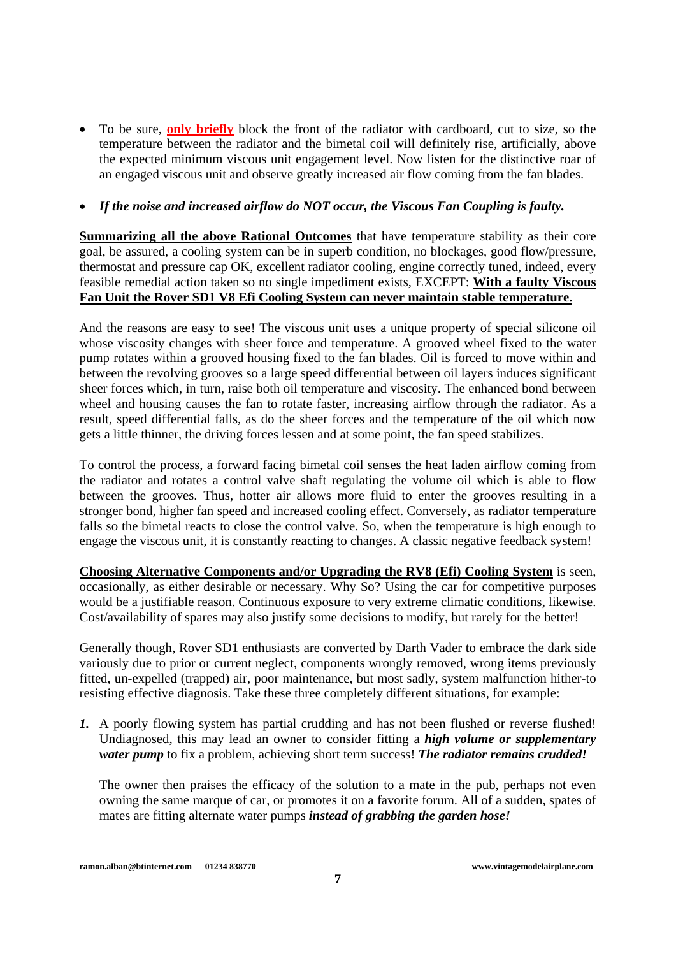• To be sure, **only briefly** block the front of the radiator with cardboard, cut to size, so the temperature between the radiator and the bimetal coil will definitely rise, artificially, above the expected minimum viscous unit engagement level. Now listen for the distinctive roar of an engaged viscous unit and observe greatly increased air flow coming from the fan blades.

## • *If the noise and increased airflow do NOT occur, the Viscous Fan Coupling is faulty.*

**Summarizing all the above Rational Outcomes** that have temperature stability as their core goal, be assured, a cooling system can be in superb condition, no blockages, good flow/pressure, thermostat and pressure cap OK, excellent radiator cooling, engine correctly tuned, indeed, every feasible remedial action taken so no single impediment exists, EXCEPT: **With a faulty Viscous Fan Unit the Rover SD1 V8 Efi Cooling System can never maintain stable temperature.**

And the reasons are easy to see! The viscous unit uses a unique property of special silicone oil whose viscosity changes with sheer force and temperature. A grooved wheel fixed to the water pump rotates within a grooved housing fixed to the fan blades. Oil is forced to move within and between the revolving grooves so a large speed differential between oil layers induces significant sheer forces which, in turn, raise both oil temperature and viscosity. The enhanced bond between wheel and housing causes the fan to rotate faster, increasing airflow through the radiator. As a result, speed differential falls, as do the sheer forces and the temperature of the oil which now gets a little thinner, the driving forces lessen and at some point, the fan speed stabilizes.

To control the process, a forward facing bimetal coil senses the heat laden airflow coming from the radiator and rotates a control valve shaft regulating the volume oil which is able to flow between the grooves. Thus, hotter air allows more fluid to enter the grooves resulting in a stronger bond, higher fan speed and increased cooling effect. Conversely, as radiator temperature falls so the bimetal reacts to close the control valve. So, when the temperature is high enough to engage the viscous unit, it is constantly reacting to changes. A classic negative feedback system!

**Choosing Alternative Components and/or Upgrading the RV8 (Efi) Cooling System** is seen, occasionally, as either desirable or necessary. Why So? Using the car for competitive purposes would be a justifiable reason. Continuous exposure to very extreme climatic conditions, likewise. Cost/availability of spares may also justify some decisions to modify, but rarely for the better!

Generally though, Rover SD1 enthusiasts are converted by Darth Vader to embrace the dark side variously due to prior or current neglect, components wrongly removed, wrong items previously fitted, un-expelled (trapped) air, poor maintenance, but most sadly, system malfunction hither-to resisting effective diagnosis. Take these three completely different situations, for example:

*1.* A poorly flowing system has partial crudding and has not been flushed or reverse flushed! Undiagnosed, this may lead an owner to consider fitting a *high volume or supplementary water pump* to fix a problem, achieving short term success! *The radiator remains crudded!* 

The owner then praises the efficacy of the solution to a mate in the pub, perhaps not even owning the same marque of car, or promotes it on a favorite forum. All of a sudden, spates of mates are fitting alternate water pumps *instead of grabbing the garden hose!*